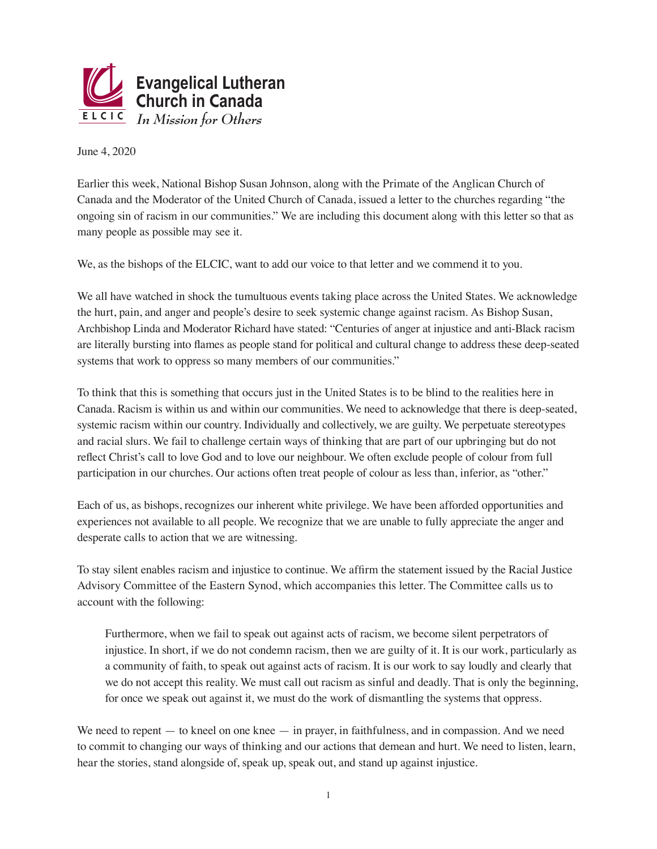

June 4, 2020

Earlier this week, National Bishop Susan Johnson, along with the Primate of the Anglican Church of Canada and the Moderator of the United Church of Canada, issued a letter to the churches regarding "the ongoing sin of racism in our communities." We are including this document along with this letter so that as many people as possible may see it.

We, as the bishops of the ELCIC, want to add our voice to that letter and we commend it to you.

We all have watched in shock the tumultuous events taking place across the United States. We acknowledge the hurt, pain, and anger and people's desire to seek systemic change against racism. As Bishop Susan, Archbishop Linda and Moderator Richard have stated: "Centuries of anger at injustice and anti-Black racism are literally bursting into flames as people stand for political and cultural change to address these deep-seated systems that work to oppress so many members of our communities."

To think that this is something that occurs just in the United States is to be blind to the realities here in Canada. Racism is within us and within our communities. We need to acknowledge that there is deep-seated, systemic racism within our country. Individually and collectively, we are guilty. We perpetuate stereotypes and racial slurs. We fail to challenge certain ways of thinking that are part of our upbringing but do not reflect Christ's call to love God and to love our neighbour. We often exclude people of colour from full participation in our churches. Our actions often treat people of colour as less than, inferior, as "other."

Each of us, as bishops, recognizes our inherent white privilege. We have been afforded opportunities and experiences not available to all people. We recognize that we are unable to fully appreciate the anger and desperate calls to action that we are witnessing.

To stay silent enables racism and injustice to continue. We affirm the statement issued by the Racial Justice Advisory Committee of the Eastern Synod, which accompanies this letter. The Committee calls us to account with the following:

Furthermore, when we fail to speak out against acts of racism, we become silent perpetrators of injustice. In short, if we do not condemn racism, then we are guilty of it. It is our work, particularly as a community of faith, to speak out against acts of racism. It is our work to say loudly and clearly that we do not accept this reality. We must call out racism as sinful and deadly. That is only the beginning, for once we speak out against it, we must do the work of dismantling the systems that oppress.

We need to repent — to kneel on one knee — in prayer, in faithfulness, and in compassion. And we need to commit to changing our ways of thinking and our actions that demean and hurt. We need to listen, learn, hear the stories, stand alongside of, speak up, speak out, and stand up against injustice.